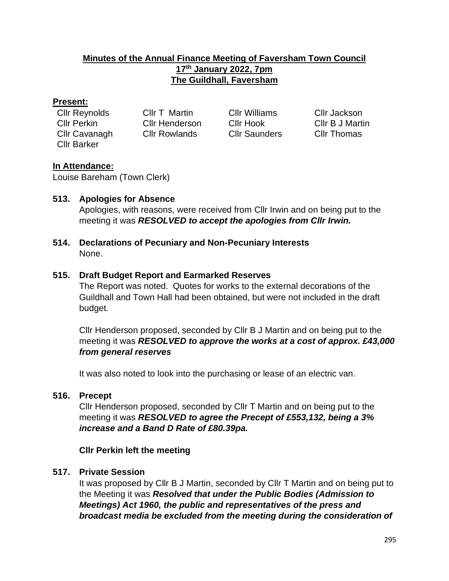## **Minutes of the Annual Finance Meeting of Faversham Town Council 17 th January 2022, 7pm The Guildhall, Faversham**

#### **Present:**

| Cllr Reynolds      | Cllr T Martin         |  |
|--------------------|-----------------------|--|
| Cllr Perkin        | <b>CIIr Henderson</b> |  |
| Cllr Cavanagh      | <b>Cllr Rowlands</b>  |  |
| <b>Cllr Barker</b> |                       |  |

Cllr Williams Cllr Jackson Cllr Saunders Cllr Thomas

Cllr Perkin Cllr Henderson Cllr Hook Cllr B J Martin

# **In Attendance:**

Louise Bareham (Town Clerk)

## **513. Apologies for Absence**

Apologies, with reasons, were received from Cllr Irwin and on being put to the meeting it was *RESOLVED to accept the apologies from Cllr Irwin.*

**514. Declarations of Pecuniary and Non-Pecuniary Interests** None.

## **515. Draft Budget Report and Earmarked Reserves**

The Report was noted. Quotes for works to the external decorations of the Guildhall and Town Hall had been obtained, but were not included in the draft budget.

Cllr Henderson proposed, seconded by Cllr B J Martin and on being put to the meeting it was *RESOLVED to approve the works at a cost of approx. £43,000 from general reserves*

It was also noted to look into the purchasing or lease of an electric van.

#### **516. Precept**

Cllr Henderson proposed, seconded by Cllr T Martin and on being put to the meeting it was *RESOLVED to agree the Precept of £553,132, being a 3% increase and a Band D Rate of £80.39pa.*

# **Cllr Perkin left the meeting**

# **517. Private Session**

It was proposed by Cllr B J Martin, seconded by Cllr T Martin and on being put to the Meeting it was *Resolved that under the Public Bodies (Admission to Meetings) Act 1960, the public and representatives of the press and broadcast media be excluded from the meeting during the consideration of*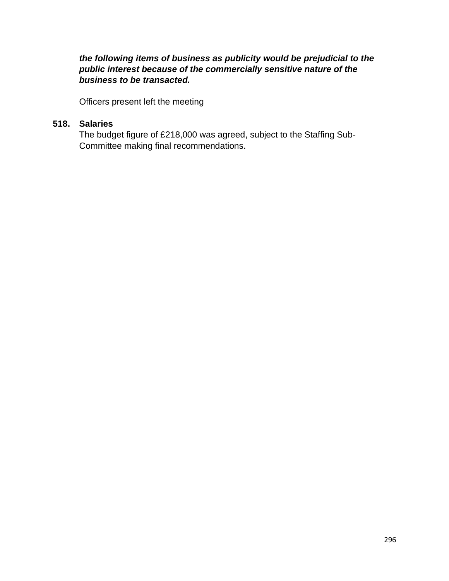*the following items of business as publicity would be prejudicial to the public interest because of the commercially sensitive nature of the business to be transacted.*

Officers present left the meeting

#### **518. Salaries**

The budget figure of £218,000 was agreed, subject to the Staffing Sub-Committee making final recommendations.